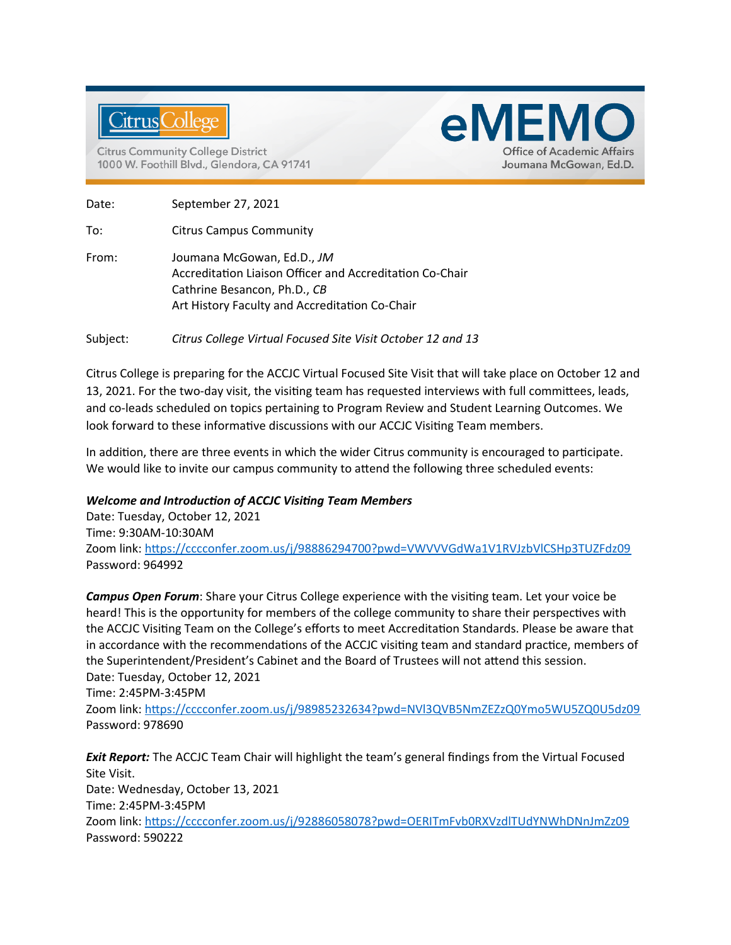

**Citrus Community College District** 1000 W. Foothill Blvd., Glendora, CA 91741



Date: September 27, 2021

To: Citrus Campus Community

From: Joumana McGowan, Ed.D., *JM* Accreditation Liaison Officer and Accreditation Co-Chair Cathrine Besancon, Ph.D., *CB* Art History Faculty and Accreditation Co-Chair

Subject: *Citrus College Virtual Focused Site Visit October 12 and 13*

Citrus College is preparing for the ACCJC Virtual Focused Site Visit that will take place on October 12 and 13, 2021. For the two-day visit, the visiting team has requested interviews with full committees, leads, and co-leads scheduled on topics pertaining to Program Review and Student Learning Outcomes. We look forward to these informative discussions with our ACCJC Visiting Team members.

In addition, there are three events in which the wider Citrus community is encouraged to participate. We would like to invite our campus community to attend the following three scheduled events:

## *Welcome and Introduction of ACCJC Visiting Team Members*

Date: Tuesday, October 12, 2021 Time: 9:30AM-10:30AM Zoom link:<https://cccconfer.zoom.us/j/98886294700?pwd=VWVVVGdWa1V1RVJzbVlCSHp3TUZFdz09> Password: 964992

*Campus Open Forum*: Share your Citrus College experience with the visiting team. Let your voice be heard! This is the opportunity for members of the college community to share their perspectives with the ACCJC Visiting Team on the College's efforts to meet Accreditation Standards. Please be aware that in accordance with the recommendations of the ACCJC visiting team and standard practice, members of the Superintendent/President's Cabinet and the Board of Trustees will not attend this session. Date: Tuesday, October 12, 2021

Time: 2:45PM-3:45PM

Zoom link:<https://cccconfer.zoom.us/j/98985232634?pwd=NVl3QVB5NmZEZzQ0Ymo5WU5ZQ0U5dz09> Password: 978690

*Exit Report:* The ACCJC Team Chair will highlight the team's general findings from the Virtual Focused Site Visit. Date: Wednesday, October 13, 2021 Time: 2:45PM-3:45PM Zoom link:<https://cccconfer.zoom.us/j/92886058078?pwd=OERITmFvb0RXVzdlTUdYNWhDNnJmZz09> Password: 590222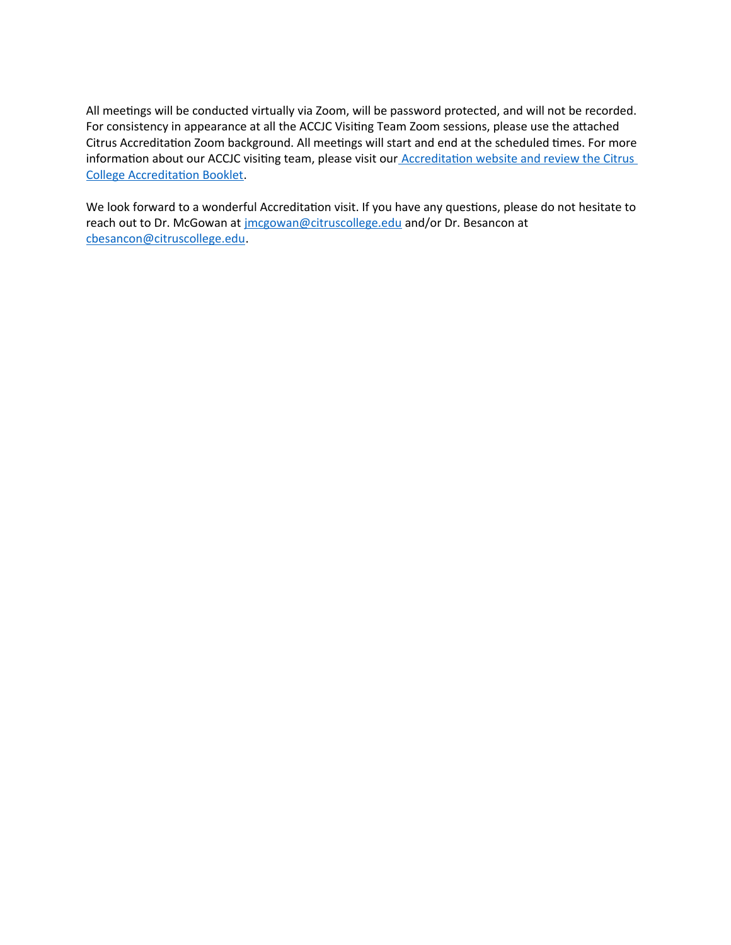All meetings will be conducted virtually via Zoom, will be password protected, and will not be recorded. For consistency in appearance at all the ACCJC Visiting Team Zoom sessions, please use the attached Citrus Accreditation Zoom background. All meetings will start and end at the scheduled times. For more information about our ACCJC visiting team, please visit our **Accreditation website and review the Citrus** College Accreditation Booklet.

We look forward to a wonderful Accreditation visit. If you have any questions, please do not hesitate to reach out to Dr. McGowan at [jmcgowan@citruscollege.edu](mailto:jmcgowan@citruscollege.edu) and/or Dr. Besancon at [cbesancon@citruscollege.edu.](mailto:cbesancon@citruscollege.edu)